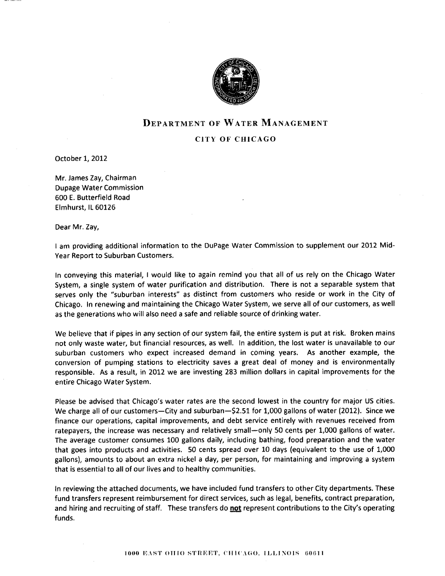

# DEPARTMENT OF WATER MANAGEMENT

### CITY OF CHICAGO

October 1, 2012

Mr. James Zay, Chairman Dupage Water Commission 600 E. Butterfield Road Elmhurst, lL 60126

Dear Mr. Zay,

I am providing additional information to the DuPage Water Commission to supplement our 2012 Mid-Year Report to Suburban Customers.

In conveying this material, I would like to again remind you that all of us rely on the Chicago Water System, a single system of water purification and distribution. There is not a separable system that serves only the "suburban interests" as distinct from customers who reside or work in the City of Chicago. In renewing and maintaining the Chicago Water System, we serve all of our customers, as well as the generations who will also need a safe and reliable source of drinking water.

We believe that if pipes in any section of our system fail, the entire system is put at risk. Broken mains not only waste water, but financial resources, as well. In addition, the lost water is unavailable to our suburban customers who expect increased demand in coming years. As another example, the conversion of pumping stations to electricity saves a great deal of money and is environmentally responsible. As a result, in 2012 we are investing 283 million dollars in capital improvements for the entire Chicago Water System.

Please be advised that Chicago's water rates are the second lowest in the country for major US cities. We charge all of our customers-City and suburban-\$2.51 for 1,000 gallons of water (2012). Since we finance our operations, capital improvements, and debt seruice entirely with revenues received from ratepayers, the increase was necessary and relatively small—only 50 cents per 1,000 gallons of water. The average customer consumes 100 gallons daily, including bathing, food preparation and the water that goes into products and activities. 50 cents spread over L0 days (equivalent to the use of 1,000 gallons), amounts to about an extra nickel a day, per person, for maintaining and improving a system that is essential to all of our lives and to healthy communities.

In reviewing the attached documents, we have included fund transfers to other City departments. These fund transfers represent reimbursement for direct services, such as legal, benefits, contract preparation, and hiring and recruiting of staff. These transfers do not represent contributions to the City's operating funds.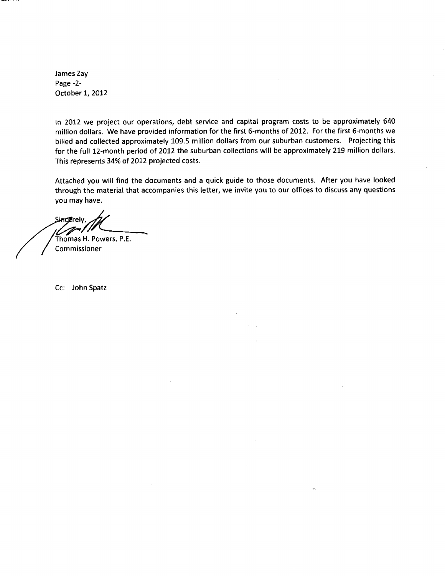James Zay Page -2- October 1, 2012

ln 2012 we project our operations, debt service and capital program costs to be approximately 540 million dollars. We have provided information for the first 6-months of 2012. For the first 6-months we billed and collected approximately 109.5 million dollars from our suburban customers. Projecting this for the full 12-month period of 2012 the suburban collections will be approximately 219 million dollars. This represents 34% of 2012 projected costs.

Attached you will find the documents and a quick guide to those documents. After you have looked through the material that accompanies this letter, we invite you to our offices to discuss any questions you may have.

**Sincerel** 

/ Thomas H. Powers, P.E. / Commissioner

Cc: John Spatz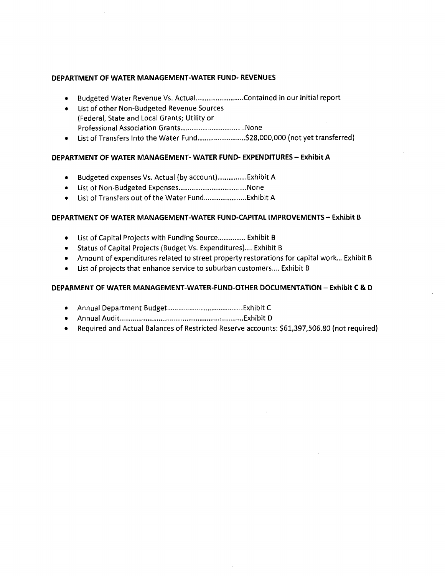## DEPARTMENT OF WATER MANAGEMENT-WATER FUND. REVENUES

- . Budgeted Water Revenue Vs. Actual... ..Contained in our initial report
- List of other Non-Budgeted Revenue Sources (Federal, State and Local Grants; Utility or Professional Association Grants....,,.,. .....None
- r List of Transfers Into the Water Fund....................... ..\$29,000,000 (not yet transferred)

## DEPARTMENT OF WATER MANAGEMENT. WATER FUND. EXPENDITURES - EXhibit A

- Budgeted expenses Vs. Actual (by account).................Exhibit A
- r List of Non-Budgeted Expenses,....,.............................,.None
- r List of Transfers out of the Water Fund.......................Exhibit A

### DEPARTMENT OF WATER MANAGEMENT-WATER FUND.CAPITAL IMPROVEMENTS- Exhibit B

- List of Capital Projects with Funding Source................ Exhibit B
- Status of Capital Projects (Budget Vs. Expenditures).... Exhibit B
- Amount of expenditures related to street property restorations for capital work... Exhibit B
- List of projects that enhance service to suburban customers.... Exhibit B

## DEPARMENT OF WATER MANAGEMENT-WATER-FUND-OTHER DOCUMENTATION - Exhibit C & <sup>D</sup>

- r Annual Department Budget........ ............Exhibit <sup>C</sup>
- r AnnualAudit........... .,............Exhibit <sup>D</sup>
- Required and Actual Balances of Restricted Reserve accounts: \$61,397,506.80 (not required)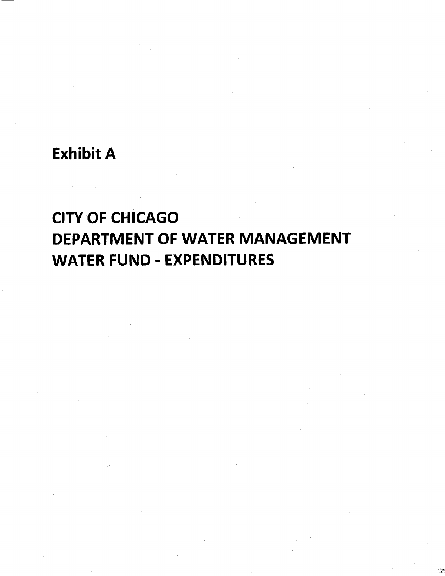# **Exhibit A**

# **CITY OF CHICAGO DEPARTMENT OF WATER MANAGEMENT WATER FUND - EXPENDITURES**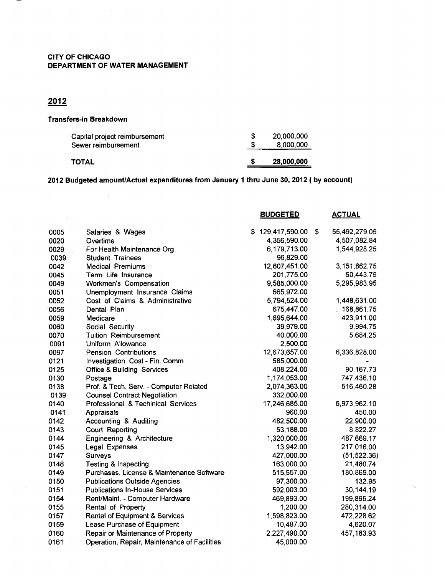## CITY OF CHICAGO DEPARTMENT OF WATER MANAGEMENT

# 2012

### Transfers-in Breakdown

| Capital project reimbursement<br>Sewer reimbursement | 20,000,000<br>8.000.000 |
|------------------------------------------------------|-------------------------|
| <b>TOTAL</b>                                         | 28,000,000              |

2012 Budgeted amount/Actual expenditures from January 1 thru June 30, 2012 ( by account)

|               | <b>ACTUAL</b>                                                                                                                  |
|---------------|--------------------------------------------------------------------------------------------------------------------------------|
| S.            | \$<br>55,492,279.05                                                                                                            |
| 4,356,590.00  | 4,507,082.84                                                                                                                   |
| 6,179,713.00  | 1,544,928.25                                                                                                                   |
| 96,829.00     |                                                                                                                                |
| 12,607,451.00 | 3,151,862.75                                                                                                                   |
| 201,775.00    | 50,443.75                                                                                                                      |
| 9,585,000.00  | 5,295,983.95                                                                                                                   |
| 665,972.00    |                                                                                                                                |
| 5,794,524.00  | 1,448,631.00                                                                                                                   |
| 675,447.00    | 168,861.75                                                                                                                     |
| 1,695,644.00  | 423,911.00                                                                                                                     |
| 39,979.00     | 9,994.75                                                                                                                       |
| 40,000.00     | 5,684.25                                                                                                                       |
| 2,500.00      |                                                                                                                                |
| 12,673,657.00 | 6,336,828.00                                                                                                                   |
| 585,000.00    |                                                                                                                                |
| 408,224.00    | 90,167.73                                                                                                                      |
| 1,174,053.00  | 747,436.10                                                                                                                     |
| 2,074,363.00  | 516,460.28                                                                                                                     |
| 332,000.00    |                                                                                                                                |
| 17,246,685.00 | 5,973,962.10                                                                                                                   |
| 960.00        | 450.00                                                                                                                         |
| 482,500.00    | 22,900.00                                                                                                                      |
| 53,188.00     | 8,822.27                                                                                                                       |
| 1,320,000.00  | 487,669.17                                                                                                                     |
| 13,942.00     | 217,016.00                                                                                                                     |
| 427,000.00    | (51, 522.36)                                                                                                                   |
| 163,000.00    | 21,480.74                                                                                                                      |
| 515,557.00    | 180,869.00                                                                                                                     |
| 97,300.00     | 132.95                                                                                                                         |
| 592,003.00    | 30,144.19                                                                                                                      |
| 469,893.00    | 199,895.24                                                                                                                     |
| 1,200.00      | 280,314.00                                                                                                                     |
| 1,598,823.00  | 472,228.62                                                                                                                     |
| 10,487.00     | 4,620.07                                                                                                                       |
| 2,227,490.00  | 457,183.93                                                                                                                     |
| 45,000.00     |                                                                                                                                |
|               | <b>BUDGETED</b><br>129,417,590.00<br>Purchases, License & Maintenance Software<br>Operation, Repair, Maintenance of Facilities |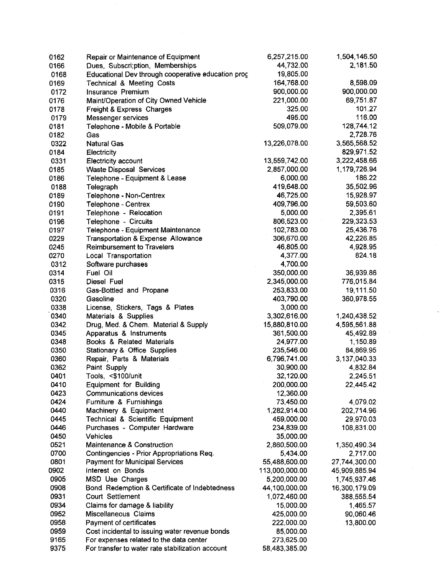| 0162 | Repair or Maintenance of Equipment                         | 6,257,215.00              | 1,504,146.50           |
|------|------------------------------------------------------------|---------------------------|------------------------|
| 0166 | Dues, Subscri; ption, Memberships                          | 44,732.00                 | 2,181.50               |
| 0168 | Educational Dev through cooperative education prog         | 19,805.00                 |                        |
| 0169 | Technical & Meeting Costs                                  | 164,768.00                | 8,598.09               |
| 0172 | Insurance Premium                                          | 900,000.00                | 900,000.00             |
| 0176 | Maint/Operation of City Owned Vehicle                      | 221,000.00                | 69,751.87              |
| 0178 | Freight & Express Charges                                  | 325.00                    | 101.27                 |
| 0179 | Messenger services                                         | 495.00                    | 116.00                 |
| 0181 | Telephone - Mobile & Portable                              | 509,079.00                | 128,744.12             |
| 0182 | Gas                                                        |                           | 2,728.76               |
| 0322 | <b>Natural Gas</b>                                         | 13,226,078.00             | 3,565,568.52           |
| 0184 | Electricity                                                |                           | 829,971.52             |
| 0331 | Electricity account                                        | 13,559,742.00             | 3,222,458.66           |
| 0185 | <b>Waste Disposal Services</b>                             | 2,857,000.00              | 1,179,726.94           |
| 0186 | Telephone - Equipment & Lease                              | 6,000.00                  | 186.22                 |
| 0188 | Telegraph                                                  | 419,648.00                | 35,502.96              |
| 0189 | Telephone - Non-Centrex                                    | 46,725.00                 | 15,928.97              |
| 0190 | Telephone - Centrex                                        | 409,796.00                | 59,503.60              |
| 0191 | Telephone - Relocation                                     | 5,000.00                  | 2,395.61               |
| 0196 | Telephone - Circuits                                       | 806,523.00                | 229,323.53             |
| 0197 | Telephone - Equipment Maintenance                          | 102,783.00                | 25,436.76              |
| 0229 | Transportation & Expense Allowance                         | 306,670.00                | 42,226.85              |
| 0245 | Reimbursement to Travelers                                 | 46,805.00                 | 4,928.95               |
| 0270 | Local Transportation                                       | 4,377.00                  | 824.18                 |
| 0312 | Software purchases                                         | 4,700.00                  |                        |
| 0314 | Fuel Oil                                                   | 350,000.00                | 36,939.86              |
| 0315 | Diesel Fuel                                                | 2,345,000.00              | 776,015.84             |
| 0316 | Gas-Bottled and Propane                                    | 253,833.00                | 19,111.50              |
| 0320 | Gasoline                                                   | 403,790.00                | 360,978.55             |
| 0338 | License, Stickers, Tags & Plates                           | 3,000.00                  |                        |
| 0340 | Materials & Supplies                                       | 3,302,616.00              | 1,240,438.52           |
| 0342 | Drug, Med. & Chem. Material & Supply                       | 15,880,810.00             | 4,595,561.88           |
| 0345 | Apparatus & Instruments                                    |                           | 45,492.89              |
| 0348 | Books & Related Materials                                  | 361,500.00<br>24,977.00   | 1,150.89               |
| 0350 | Stationary & Office Supplies                               | 235,546.00                | 84,869.95              |
| 0360 | Repair, Parts & Materials                                  | 6,796,741.00              | 3, 137, 040.33         |
| 0362 | Paint Supply                                               | 30,900.00                 | 4,832.84               |
| 0401 | Tools, <\$100/unit                                         | 32,120.00                 | 2,245.51               |
| 0410 | <b>Equipment for Building</b>                              | 200,000.00                | 22,445.42              |
| 0423 | Communications devices                                     | 12,360.00                 |                        |
| 0424 |                                                            | 73,450.00                 |                        |
| 0440 | Furniture & Furnishings<br>Machinery & Equipment           | 1,282,914.00              | 4,079.02<br>202,714.96 |
| 0445 | Technical & Scientific Equipment                           | 459,000.00                | 29,970.03              |
| 0446 |                                                            | 234,839.00                |                        |
| 0450 | Purchases - Computer Hardware                              |                           | 108,831.00             |
| 0521 | Vehicles<br>Maintenance & Construction                     | 35,000.00                 |                        |
| 0700 |                                                            | 2,860,500.00              | 1,350,490.34           |
|      | Contingencies - Prior Appropriations Req.                  | 5,434.00<br>55,488,600.00 | 2,717.00               |
| 0801 | <b>Payment for Municipal Services</b><br>Interest on Bonds |                           | 27,744,300.00          |
| 0902 |                                                            | 113,000,000.00            | 45,909,885.94          |
| 0905 | MSD Use Charges                                            | 5,200,000.00              | 1,745,937.46           |
| 0908 | Bond Redemption & Certificate of Indebtedness              | 44,100,000.00             | 16,300,179.09          |
| 0931 | Court Settlement                                           | 1,072,460.00              | 388,555.54             |
| 0934 | Claims for damage & liability                              | 15,000.00                 | 1,465.57               |
| 0952 | Miscellaneous Claims                                       | 425,000.00                | 90,060.46              |
| 0958 | Payment of certificates                                    | 222,000.00                | 13,800.00              |
| 0959 | Cost incidental to issuing water revenue bonds             | 85,000.00                 |                        |
| 9165 | For expenses related to the data center                    | 273,625.00                |                        |
| 9375 | For transfer to water rate stabilization account           | 58,483,385.00             |                        |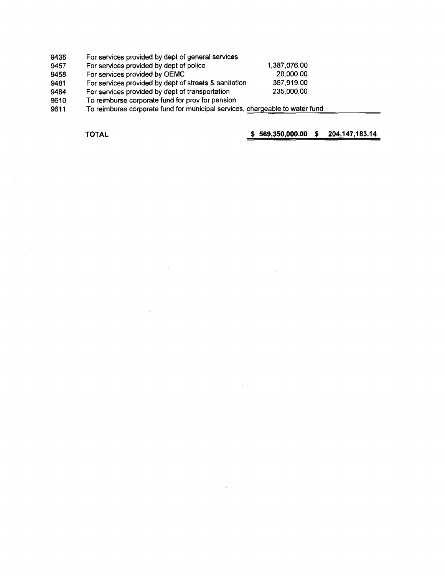- 9438 For services provided by dept of general services
- 9457 9458 For services provided by dept of police For services provided by OEMC
- 9481 For services provided by dept of streets & sanitation
- 9484 For services provided by dept of transportation 367.919.00 235.000.00
- 9610 To reimburse corporate fund for prov for pension
- 9611 To reimburse corporate fund for municipal services, chargeable to water fund

TOTAL \$ 569,350,000.00 \$ 204,147,183.14

1,387,076.00 20,000.00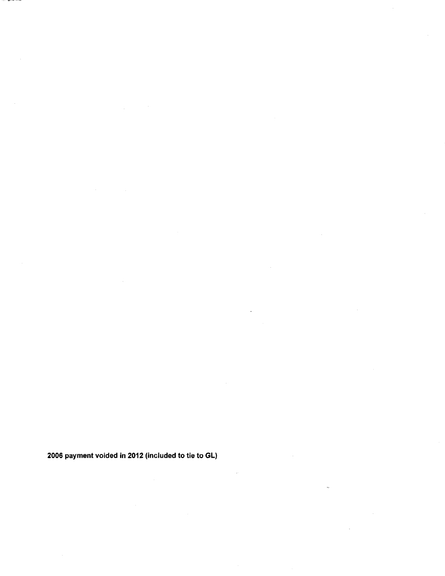2006 payment voided in 2012 (included to tie to GL)

<u>—</u>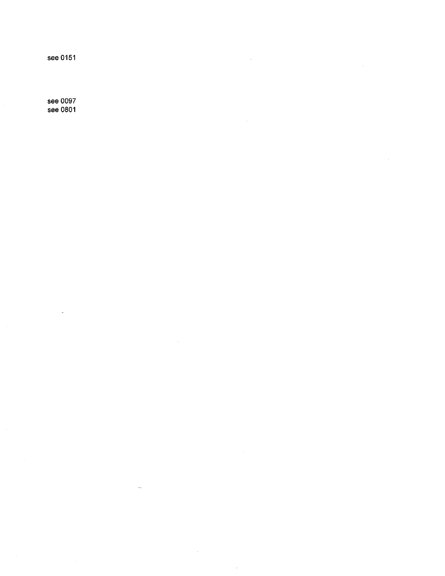see 0151

see 0097 see 0801

 $\ddot{\phantom{a}}$ 

 $\bar{z}$ 

 $\bar{\beta}$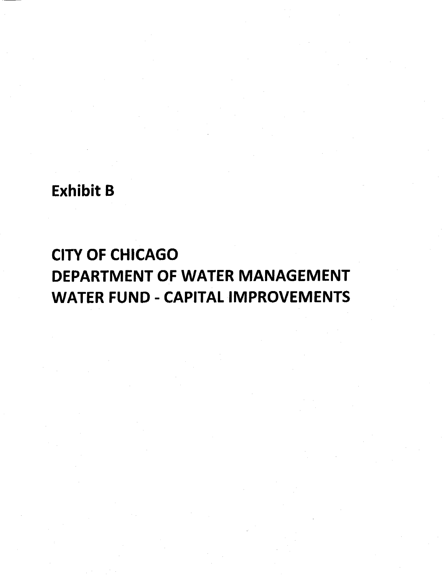# Exhibit B

# CITY OF CHICAGO DEPARTMENT OF WATER MANAGEMENT WATER FUND - CAPITAL IMPROVEMENTS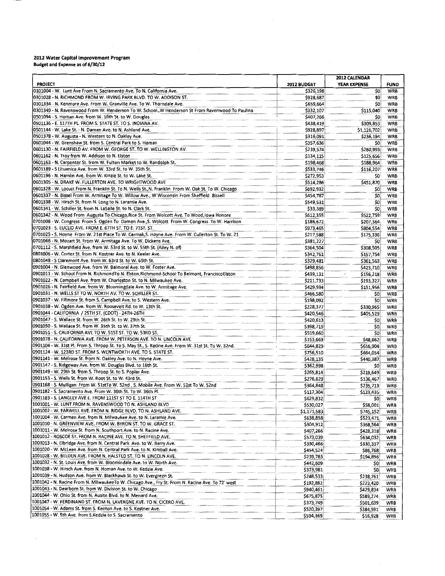#### 2012 Water Capital Improvement Program Budget and Expense as of 6/30/12

 $\bar{z}$ 

|                                                                                                                                                                     |                        | 2012 CALENDAR          |                          |
|---------------------------------------------------------------------------------------------------------------------------------------------------------------------|------------------------|------------------------|--------------------------|
| <b>PROJECT</b>                                                                                                                                                      | <b>2012 BUDGET</b>     | YEAR EXPENSE           | <b>FUND</b>              |
| 0101004 - W. Lunt Ave From N. Sacramento Ave. To N. California Ave.<br>0301028 - N. RICHMOND FROM W. IRVING PARK BLVD. TO W. ADDISON ST.                            | \$326,198              | \$0                    | <b>WRB</b>               |
| 0301334 - N. Kenmore Ave. From W. Granville Ave. To W. Thorndale Ave.                                                                                               | \$928,687<br>\$659,664 | \$0<br>SO              | <b>WRB</b><br><b>WRB</b> |
| 0301349 - N. Ravenswood From W. Henderson To W. School. W Henderson St From Ravenwood To Paulina                                                                    | \$332,107              | \$115,040              | WRB                      |
| 0501094 - S. Homan Ave. from W. 16th St. to W. Douglas                                                                                                              | \$407,266              | SO.                    | WRB                      |
| 0501136 - E. 117TH PL. FROM S. STATE ST. TO S. INDIANA AV.                                                                                                          | \$438,419              | \$309,853              | WRB                      |
| 0501144 - W. Lake St. - N. Damen Ave. to N. Ashland Ave.                                                                                                            | \$928,897              | \$1,126,702            | WRB                      |
| 0501378 - W. Augusta - N. Western to N. Oakley Ave.                                                                                                                 | \$316,091              | \$236,194              | WRB                      |
| 0601044 - W. Grenshaw St. from S. Central Park to S. Homan<br>0601130 - N. FAIRFIELD AV. FROM W. GEORGE ST. TO W. WELLINGTON AV.                                    | \$357,636<br>\$239,574 | \$0                    | <b>WRB</b>               |
| 0601162 - N. Troy from W. Addison to N. Elston                                                                                                                      | \$134,115              | \$260,993<br>\$125,656 | <b>WRB</b><br>WRB        |
| 0601163 - N. Carpenter St. from W. Fulton Market to W. Randolph St.                                                                                                 | \$198,468              | \$188,964              | WRB                      |
| 0601189 - S Lituanica Ave. from W. 33rd St. to W. 35th St.                                                                                                          | \$533,746              | \$116,207              | WRB                      |
| 0601196 - N. Hamlin Ave. from W. Kinzie St. to W. Lake St.                                                                                                          | \$272,953              | SO.                    | WRB                      |
| 0601305 - N. DRAKE W. FULLERTON AVE. TO WRIGHTWOOD AVE                                                                                                              | \$514,286              | \$451,870              | WRB                      |
| 0601328 - W. Locust From N. Franklin St. To N. Wells St., N. Franklin From W. Oak St. To W. Chicago                                                                 | \$692,932              | SC.                    | <b>WRB</b>               |
| 0601337 - N. Bissel From W. Armitage To W. Willow Ave., W Wisconsin From Sheffield Bissell                                                                          | \$454,787              | \$0,                   | WRB                      |
| 0601338 - W. Hirsch St. from N. Long to N. Laramie Ave.                                                                                                             | \$549,531              | \$0                    | WRB                      |
| 0601341 - W. Schiller St. from N. LaSalle St. to N. Clark St.<br>0601342 - N. Wood From Augusta To Chicago, Rice St. From Wolcott Ave. To Wood, lowa Honore         | \$33,389<br>\$612,355  | SO:<br>\$522,759       | WRB<br>WRB               |
| 0701008 - W. Congress From S. Ogden To Damen Ave., S. Wolcott From W. Congress To W. Harrison                                                                       | \$186,672              | \$207,364              | <b>WRB</b>               |
| 0701023 - S. EUCLID AVE. FROM E. 67TH ST. TO E. 71ST. ST.                                                                                                           | \$973,465              | \$804,554              | <b>WRB</b>               |
| 0701025 - S. Hoyne From W. 21st Place To W. Cermak, S. Hoyne Ave. From W. Cullerton St. To W. 21                                                                    | \$217,588              | \$175,336              | <b>WRB</b>               |
| 0701066 - N. Mozart St. From W. Armitage Ave. To W. Dickens Ave.                                                                                                    | \$381,227              | S0                     | WRB                      |
| 0701112 - S. Marshfield Ave. from W. 53rd St. to W. 55th St. (Alley N. of)                                                                                          | \$364,504              | \$308,505              | WRB                      |
| 0801006 - W. Cortez St. from N. Kostner Ave. to N. Keeler Ave.                                                                                                      | \$342,761              | \$157,754              | <b>WRB</b>               |
| 0801048 - S Claremont Ave, from W. 63rd St. to W. 65th St.                                                                                                          | \$329,481              | \$361,563              | <b>WRB</b>               |
| 0901004 - N. Glenwood Ave. from W. Balmoral Ave. to W. Foster Ave.<br>0901011 - W. School From N. RichmondTo N. Elston, Richmond-School To Belmont, FranciscoElston | \$498,856              | \$423,710              | <b>WRB</b>               |
| 0901022 - N. Campbell Ave. from W. Charleston St. to N. Milwaukee Ave.                                                                                              | \$439,131<br>\$211,733 | \$156,218<br>\$193,327 | WRB<br><b>WRB</b>        |
| 0901026 - N. Fairfield Ave. from W. Bloomingdale Ave. to W. Armitage Ave.                                                                                           | \$429,934              | \$151,956              | <b>WRB</b>               |
| 0901031 - N. WELLS ST TO W. NORTH AV. TO W. SCHILLER ST.                                                                                                            | \$466,580              | \$0                    | WRB                      |
| 0901037 - W. Fillmore St. from S. Campbell Ave. to S. Western Ave.                                                                                                  | \$198,092              | SD)                    | <b>WRB</b>               |
| 0901038 - W. Ogden Ave. from W. Roosevelt Rd. to W. 13th St.                                                                                                        | \$228,377              | \$330,965              | <b>WRB</b>               |
| 0901044 - CALIFORNIA / 25TH ST. (CDOT) - 24TH-26TH                                                                                                                  | \$420,546              | \$405,529              | WRB                      |
| 0901047 - S. Wallace St. from W. 26th St. to W. 29th St.                                                                                                            | \$420,613              | SO.                    | <b>WRB</b>               |
| 0901050 - S. Wallace St. from W. 35th St. to W. 37th St.<br>0901051 - S. CALIFORNIA AVE TO W. 51ST ST. TO W. 53RD ST.                                               | \$398,719              | SO.                    | WRB                      |
| 0901078 - N. CALIFORNIA AVE. FROM W. PETERSON AVE. TO N. LINCOLN AVE.                                                                                               | \$519,660              | \$0<br>\$48,662        | <b>WRB</b><br>WRB        |
| 0901104 - W. 31st Pl. From S. Throop St. To S. May St., S. Racine Ave. From W. 31st St. To W. 32nd.                                                                 | \$153,663<br>\$644,829 | \$616,904              | WRB                      |
| 0901124 - W. 123RD ST. FROM S. WENTWORTH AVE. TO S. STATE ST.                                                                                                       | \$756,510              | \$664,054              | <b>WRB</b>               |
| 0901141 - W. Melrose St. from N. Oakley Ave. to N. Hoyne Ave.                                                                                                       | 5428,135               | \$440,387              | WRB                      |
| 0901147 - S. Ridgeway Ave. from W. Douglas Blvd. to 16th St.                                                                                                        | \$362,998              | SO.                    | WRB                      |
| 0901149 - W. 29th St. from S. Throop St. to S. Poplar Ave.                                                                                                          | \$265,814              | \$219,649              | WRB                      |
| 0901153 - S. Wells St. from W. Root St. to W. 43rd St.                                                                                                              | \$276,629              | \$136,467              | <b>WRB</b>               |
| 0901168 - S. Mulligan From W. 51stTo W. 52nd, S. Mobile Ave. From W. 51st To W. 52nd                                                                                | \$364,848              | \$235,713              | <b>WRB</b>               |
| 0901182 - S. Sacramento Ave, From W. 36th St. To W. 36th Pl.<br>0901183 - S. LANGLEY AVE E. FROM 111ST ST TO E. 114TH ST                                            | \$117,304              | \$123,435              | WRB<br><b>WRB</b>        |
| 1001001 - W. LUNT FROM N. RAVENSWOOD TO N. ASHLAND BLVD                                                                                                             | \$629,832<br>\$530,027 | SO,<br>\$58,001        | WRB                      |
| 1001002 - W. FARWELL AVE. FROM N. RIDGE BLVD. TO N. ASHLAND AVE.                                                                                                    | \$1,171,583            | \$745,152              | WRB                      |
| 1001004 - W. Carmen Ave. from N. Milwaukee Ave. to N. Laramie Ave.                                                                                                  | \$638,858              | \$523,471              | <b>WRB</b>               |
| 1001010 - N. GREENVIEW AVE. FROM W. BYRON ST. TO W. GRACE ST.                                                                                                       | \$304,912              | \$368,564              | WRB                      |
| 1001011 - W. Melrose St. from N. Southport Ave. to N. Racine Ave.                                                                                                   | \$407,266              | \$428,318              | WRB                      |
| 1001012 - ROSCOE ST. FROM N. RACINE AVE. TO N. SHEFFIELD AVE.                                                                                                       | \$573,039              | \$634,032              | WRB                      |
| 1001013 - N. Elbridge Ave. from N. Central Park Ave. to W. Barry Ave.<br>1001020 - W. McLean Ave. from N. Central Park Ave. to N. Kimball Ave.                      | \$330,466              | \$330,337              | WRB                      |
| 1001028 - W. BELDEN AVE. FROM N. HALSTED ST. TO N. LINCOLN AVE.                                                                                                     | \$454,524<br>\$239,783 | \$86,768<br>\$194,896  | WRB<br>WRB               |
| 1001032 - N. St. Louis Ave. from W. Bloomindale Ave. to W. North Ave.                                                                                               | \$442,609              | 50                     | <b>WRB</b>               |
| 1001038 - W. Hirsch Ave. from N. Homan Ave. to W. Kedzie Ave.                                                                                                       | \$373,981              | SO.                    | <b>WRB</b>               |
| 1001039 - N. Hudson Ave. from W. Blackhawk St. to W. Evergreen St.                                                                                                  | \$248,533              | \$238,761              | WRB                      |
| 1001042 - N. Racine From N. MilwaukeeTo W. Chicago Ave., Fry St. From N. Racine Ave. To 72' west                                                                    | \$192,882              | \$223,420              | <b>WRB</b>               |
| 1001043 - N. Dearborn St. from W. Division St. to W. Chicago                                                                                                        | \$940,461              | \$429,834              | WRB                      |
| 1001044 - W. Ohio St. from N. Ausitn Blvd. to N. Menard Ave.                                                                                                        | \$675,875              | \$589,274              | WRB                      |
| 1001047 - W. FERDINAND ST. FROM N. LAVERGNE AVE. TO N. CICERO AVE.                                                                                                  | \$373,749              | \$501,639              | WRB                      |
| 1001054 - W. Adams St. from S. Kenton Ave. to S. Kostner Ave.                                                                                                       | \$520,397              | \$384,591              | WRB                      |
| 1001055 - W. 5th Ave. from S.Kedzie to S. Sacramento                                                                                                                | \$594,369              | \$16,928               | WRB                      |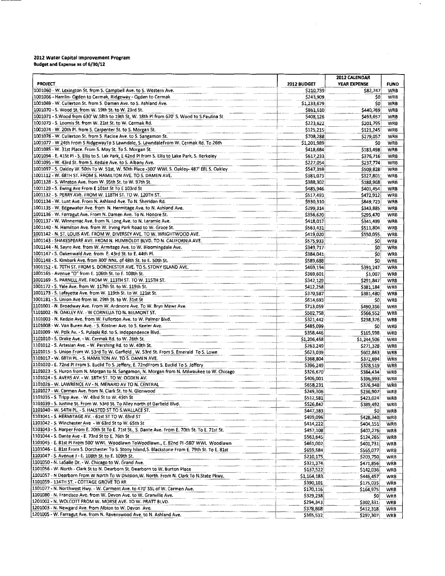#### 2012 Water Capital Improvement Program **Budget and Expense as of 6/30/12**

|                                                                                                    |             | 2012 CALENDAR       |             |
|----------------------------------------------------------------------------------------------------|-------------|---------------------|-------------|
| <b>PROJECT</b>                                                                                     | 2012 BUDGET | <b>YEAR EXPENSE</b> | <b>FUND</b> |
| 1001060 - W. Lexington St. from S. Campbell Ave. to S. Western Ave.                                | \$210,739   | \$82,747            | <b>WRB</b>  |
| 1001066 - Hamlin- Ogden to Cermak, Ridgeway - Ogden to Cermak                                      | \$243,909   | 50                  | WRB         |
| 1001069 - W. Cullerton St. from S. Damen Ave. to S. Ashland Ave.                                   | \$1,233,679 | \$O.                | <b>WRB</b>  |
| 1001070 - S. Wood St. from W. 19th St. to W. 23rd St.                                              | \$861,610   | \$440,769           | WRB         |
| 1001071 - S.Wood from 630' W.18th to 19th St, W. 18th Pl from 670' S. Wood to S.Paulina St         | \$408,126   | \$493,657           | <b>WRB</b>  |
| 1001073 - S. Loomis St. from W. 21st St. to W. Cermak Rd.                                          | \$223,622   | \$201,795           | <b>WRB</b>  |
| 1001074 - W. 20th Pl. from S. Carpenter St. to S. Morgan St.                                       | \$125,215   | \$121,245           | <b>WRB</b>  |
| 1001076 - W. Cullerton St. from S. Racine Ave. to S. Sangamon St.                                  | \$708,288   | \$279,057           | <b>WRB</b>  |
| 1001077 - W 24th From S RidgewayTo S Lawndale, S. LawndaleFrom W. Cermak Rd. To 26th               | \$1,201,989 | SO.                 | <b>WRB</b>  |
| 1001085 - W. 31st Place. From S. May St. To S. Morgan St.                                          | \$418,684   | \$183,498           | <b>WRB</b>  |
| 1001094 - E. 41St Pi - S. Eilis to S. Lak Park, E 42nd Pi from S. Eilis to Lake Park, S. Berkeley  | \$617,233   | \$376,716           | <b>WRB</b>  |
| 1001095 - W. 43rd St. from S. Kedzie Ave. to S. Albany Ave.                                        | \$227,054   | \$237,774           | <b>WRB</b>  |
| 1001097 - S. Oakley W. 50th To W. 51st, W. 50th Place -300' WWL S. Oakley- 487' EEL S. Oakley      | \$547,359   | \$509,828           | <b>WRB</b>  |
| 1001112 - W. 68TH ST. FROM S. HAMILTON AVE. TO S. DAMEN AVE.                                       | \$381,073   | \$327,801           | WRB         |
| 1001128 - S. Winston Ave. from W. 95th St. to W. 97th St.                                          | \$388,302   | \$188,968           | <b>WRB</b>  |
| 1001129 - S. Ewing Ave From E 101st St To E 103rd St                                               | \$485,946   | \$401,454           | <b>WRB</b>  |
| 1001132 - S. PERRY AVE. FROM W. 118TH ST. TO W. 120TH ST.                                          | \$517,493   | \$472,912           | WRB         |
| 1001134 - W. Lunt Ave. From N. Ashland Ave. To N. Sheridan Rd.                                     | \$930,310   | \$849,723           | <b>WRB</b>  |
| 1001135 - W. Edgewater Ave. from N. Hermitage Ave. to N. Ashland Ave.                              | \$299,314   | \$343,885           | WRB         |
| 1001136 - W. Farragut Ave. From N. Damen Ave. To N. Honore St.                                     | \$356,620   | \$295,470           | WRB         |
| 1001137 - W. Winnemac Ave, from N. Long Ave, to N. Laramie Ave.                                    | \$418,017   | \$341,499           | <b>WRB</b>  |
| 1001140 - N. Hamilton Ave. from W. Irving Park Road to W. Grace St.                                | \$563,431   | \$511.804           | WRB         |
| 1001142 - N. ST. LOUIS AVE. FROM W. DIVERSEY AVE. TO W. WRIGHTWOOD AVE.                            | \$419,020   | \$550,055           | <b>WRB</b>  |
| 1001143 - SHAKESPEARE AVE. FROM N. HUMBOLDT BLVD. TO N. CALIFORNIA AVE.                            | \$575,933   | SO.                 | WRB         |
| 1001144 - N. Sayre Ave. from W. Armitage Ave. to W. Bloomingdale Ave.                              | \$349,717   | \$0                 | WRB         |
| 1001147 - S. Oakenwald Ave. from E. 43rd St. to E. 44th Pl.                                        | \$384,041   | \$0.                | WRB         |
| 1001148 - S. Kimbark Ave. from 300' NNL. of 48th St. to E. 50th St.                                | \$589,688   | \$0                 | <b>WRB</b>  |
| 1001152 - E. 70TH ST. FROM S. DORCHESTER AVE. TO S. STONY ISLAND AVE.                              | \$469,194   | \$391,247           | <b>WRB</b>  |
| 1001165 - Avenue "O" from E. 106th St. to E. 108th St.                                             | \$369,601   | \$1,007             | <b>WRB</b>  |
| 1001169 - S. PARNELL AVE. FROM W. 113TH ST. TO W. 115TH ST.                                        | 5342.129    | \$291,847           | WRB         |
| 1001172 - S. Yale Ave. from W. 117th St. to W. 119th St.                                           | \$412,258   | \$381,184           | <b>WRB</b>  |
| 1001173 - S. Lafayette Ave. from W. 119th St. to W. 121st St.                                      | \$370,587   | \$381,480           | <b>WRB</b>  |
| 1001181 - S. Union Ave from W. 29th St. to W. 31st St                                              | 5614,693    | \$0                 | WRB         |
| 1101001 - N. Broadway Ave. From W. Ardmore Ave. To W. Bryn Mawr Ave.                               | \$713,059   | \$490,356           | <b>WRB</b>  |
| 1101002 - N. OAKLEY AV. - W CORNELIA TO N. BELMONT ST.                                             | \$502,758   | \$566,552           | <b>WRB</b>  |
| 1101003 - N. Kedzie Ave. from W. Fullerton Ave. to W. Palmer Bivd.                                 | \$321,442   | \$238,376           | <b>WRB</b>  |
| 1101008 - W. Van Buren Ave. - S. Kostner Ave. to S. Keeler Ave.                                    | \$485,099   | 50                  | <b>WRB</b>  |
| 1101009 - W. Polk Av. - S. Pulaski Rd. to S. Independence Blvd.                                    | \$358,446   | \$165,598           | WRB         |
| 1101010 - S. Drake Ave. - W. Cermak Rd. to W. 26th St.                                             | \$1,206,458 | \$1,244,506         | <b>WRB</b>  |
| 1101012 - S. Artesian Ave. - W. Pershing Rd. to W. 40th St.                                        | \$263,249   | \$271,328           | <b>WRB</b>  |
| 1101015 - S. Union From W. 53rd To W. Garfield, W. 53rd St. From S. Emerald To S. Lowe             | \$623,039   | \$602,863           | <b>WRB</b>  |
| 1101017 - W. 68TH PL. - S. HAMILTON AV. TO S. DAMEN AVE.                                           | \$368,804   | \$372,694           | <b>WRB</b>  |
| 1101020 - E. 72nd PI From S. Euclid To S. Jeffery, E. 72ndFrom S. Euclid To S. Jeffery             | \$396,249   | \$328,519           | <b>WRB</b>  |
| 1101023 - S. Huron from N. Morgan to N. Sangamon, N. Morgan from N. Milwaukee to W. Chicago        | \$326,670   | \$384,434           | WRB         |
| 1101024 - S. AVERS AV. - W. 18TH ST. TO W. OGDEN AV.                                               | \$406,001   | \$396.993           | <b>WRB</b>  |
| 1101026 - W. LAWRENCE AV - N. MENARD AV TO N. CENTRAL                                              | \$658,231   | \$376,948           | WRB         |
| 1101027 - W. Carmen Ave. from N. Clark St. to N. Glenwood                                          | \$249,306   | \$236,907           | WRB         |
| 1101035 - S. Tripp Ave. - W. 43rd St to W. 45th St                                                 | \$512,581   | \$423,024           | <b>WRB</b>  |
| 1101039 - S. Justine St. From W. 53rd St. To Alley north of Garfield Blvd.                         | \$526,842   | \$389,492           | WRB         |
| 1101040 - W. 54TH PL. - S. HALSTED ST TO S. WALLACE ST.                                            | \$447,383   | 50                  | WRB         |
| 1101041 - S. HERMITAGE AV. - 61st ST TO W. 63rd ST                                                 | \$499,096   | \$428,340           | <b>WRB</b>  |
| 1101042 - S. Winchester Ave - W 63rd St to W. 65th St                                              | \$414,222   | \$404,151           | <b>WRB</b>  |
| 1101043 - S. Harper From E. 70th St To E. 71st St., S. Dante Ave. From E. 70th St. To E. 71st St.  | \$457,108   | \$407,276           | <b>WRB</b>  |
| 1101044 - S. Dante Ave - E. 73rd St to E. 76th St                                                  | \$563,645   | \$124,265           | WRB         |
| 1101045 - E. 81st PI From 500' WWL Woodlawn ToWoodlawn., E. 82nd PI -580' WWL Woodlawn             | \$461,002   | \$401,731           | WRB         |
| 1101046 - E. 81st From S. Dorchester To S. Stony Island, S. Blackstone From E. 79th St. To E. 81st | \$659,584   | \$565,077           | WRB         |
| 1101047 - S. Avenue J - E. 108th St. to E. 109th St.                                               | \$210,175   | \$203,750           | WRB         |
| 1101050 - N. LaSalle Dr. - W. Chicago to W. Grand Ave.                                             | \$321,374   | \$471,856           | WRB         |
| (1101056 - W. North - Clark St to N. Dearborn St. Dearborn to W. Burton Place                      | \$137,522   | \$142,036           | WRB         |
| 1101057 - N Dearborn From W North To W Division, W. North. From N. Clark To N.State Pkwy.          | \$1,164,183 | \$446,457           | WRB         |
| 1101059 - 114TH ST. - COTTAGE GROVE TO RR                                                          | \$390,101   | \$175,035           | WRB         |
| 1101077 - N. Northwest Hwy. - W. Carment Ave. to 470' SSL of W. Carmen Ave.                        | \$170,116   | \$164,975           | WRB         |
| 1101080 - N. Francisco Ave. from W. Devon Ave. to W. Granville Ave.                                | \$329,238   | \$0.                | WRB         |
| 1201002 - N. WOLCOTT FROM W. MORSE AVE. TO W. PRATT BLVD.                                          | \$294,343   | \$302,331           | WRB         |
| 1201003 - N. Newgard Ave. from Albion to W. Devon Ave.                                             | \$378,868   | \$412,318           | WRB         |
| 1201005 - W. Farragut Ave. from N. Ravenswood Ave. to N. Ashland Ave.                              | \$365,532   | \$297,307           | <b>WRB</b>  |

 $\lambda$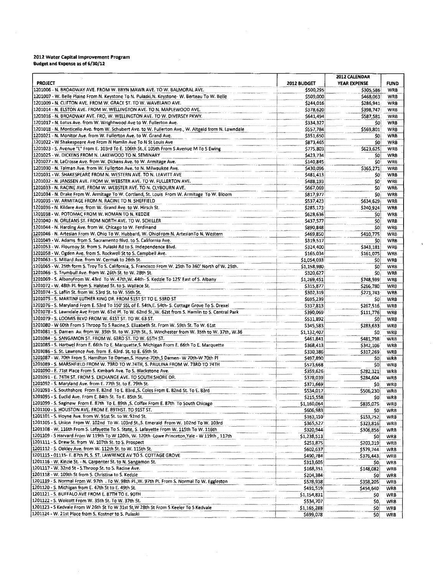# 2012 Water Capital Improvement Program<br>Budget and Expense as of 6/30/12

|                                                                                                                                                                                    |                          | 2012 CALENDAR          |                          |
|------------------------------------------------------------------------------------------------------------------------------------------------------------------------------------|--------------------------|------------------------|--------------------------|
| <b>PROJECT</b>                                                                                                                                                                     | 2012 BUDGET              | YEAR EXPENSE           | <b>FUND</b>              |
| 1201006 - N. BROADWAY AVE. FROM W. BRYN MAWR AVE. TO W. BALMORAL AVE.                                                                                                              | \$500,295                | \$305,586              | <b>WRB</b>               |
| 1201007 - W. Belle Plaine From N. Keystone To N. Pulaski, N. Keystone- W. Berteau To W. Belle                                                                                      | \$509,000                | \$468,063              | WRB                      |
| 1201009 - N. CLIFTON AVE. FROM W. GRACE ST. TO W. WAVELAND AVE.                                                                                                                    | \$244,016                | \$286,941              | <b>WRB</b>               |
| 1201014 - N. ELSTON AVE. FROM W. WELLINGTON AVE. TO N. MAPLEWOOD AVE.                                                                                                              | \$378,620                | \$398,747              | <b>WRB</b>               |
| 1201016 - N. BROADWAY AVE. FRO, W. WELLINGTON AVE. TO W. DIVERSEY PKWY.                                                                                                            | \$641,494                | \$587,581              | WRB                      |
| 1201017 - N. Lotus Ave. from W. Wrightwood Ave to W. Fullerton Ave.                                                                                                                | \$334,327                | SO)                    | <b>WRB</b>               |
| 1201018 - N. Monticello Ave. from W. Schubert Ave. to W. Fullerton Ave., W. Altgeld from N. Lawndale<br>1201021 - N. Monitor Ave. from W. Fullerton Ave. to W. Grand Ave.          | \$557,784                | \$569,801              | WRB<br><b>WRB</b>        |
| 1201022 - W Shakespeare Ave From N Hamlin Ave To N St Louis Ave                                                                                                                    | \$351,650<br>\$873,465   | SO.<br>50              | <b>WRB</b>               |
| 1201023 - S. Avenue "L" From E. 103rd To E. 106th St.,E 105th From S Avenue M To S Ewing                                                                                           | \$775,803                | \$623,625              | WRB                      |
| 1201025 - W. DICKENS FROM N. LAKEWOOD TO N. SEMINARY                                                                                                                               | \$423,734                | SO.                    | <b>WRB</b>               |
| 1201027 - N. LaCrosse Ave. from W. Dickens Ave. to W. Armitage Ave.                                                                                                                | \$140,845                | \$0                    | <b>WRB</b>               |
| 1201030 - N. Talman Ave. from W. Fullerton Ave. to N. Milwaukee Ave.                                                                                                               | \$430,096                | \$365,271              | <b>WRB</b>               |
| 1201031 - W. SHAKESPEARE FROM N. WESTERN AVE. TO N. LEAVITT AVE                                                                                                                    | \$481,413                | SO.                    | <b>WRB</b>               |
| 1201032 - N. JANSSEN AVE. FROM W. WEBSTER AVE. TO W. FULLERTON AVE.                                                                                                                | \$488,193                | SO <sup>®</sup>        | WRB                      |
| 1201033 - N. RACINE AVE. FROM W. WEBSTER AVE. TO N. CLYBOURN AVE.                                                                                                                  | \$667,069                | \$0                    | <b>WRB</b>               |
| 1201034 - N. Drake From W. Armitage To W. Cortland, St. Louis From W. Armitage To W. Bloom                                                                                         | \$817,977                | \$0                    | <b>WRB</b>               |
| 1201035 - W. ARMITAGE FROM N. RACINE TO N. SHEFFIELD                                                                                                                               | \$537,423                | \$634,629              | <b>WRB</b>               |
| 1201036 - N. Kildare Ave. from W. Grand Ave. to W. Hirsch St.                                                                                                                      | \$285,173                | \$240,924              | <b>WRB</b>               |
| 1201038 - W. POTOMAC FROM W. HOMAN TO N. KEDZIE                                                                                                                                    | \$628,636                | SO)                    | <b>WRB</b>               |
| 1201040 - N. ORLEANS ST. FROM NORTH AVE. TO W. SCHILLER                                                                                                                            | \$437,577                | SO.                    | WRB                      |
| 1201044 - N. Harding Ave. from W. Chicago to W. Ferdinand                                                                                                                          | \$890,848                | 50                     | <b>WRB</b>               |
| 1201046 - N. Artesian From W. Ohio To W. Hubbard, W. OhioFrom N. ArtesianTo N. Western                                                                                             | \$469,850                | \$410,775              | <b>WRB</b>               |
| 1201049 - W. Adams from S. Sacramento Blvd. to S. California Ave.                                                                                                                  | \$319,517                | SO.                    | <b>WRB</b>               |
| 1201053 - W. Flournoy St. from S. Pulaski Rd to S. Independence Blvd.                                                                                                              | \$324,400                | \$343,181              | <b>WRB</b>               |
| 1201058 - W. Ogden Ave. from S. Rockwell St to S. Campbell Ave.                                                                                                                    | \$165,034                | \$161,075              | <b>WRB</b>               |
| 1201063 - S. Millard Ave. from W. Cermak to 26th St.                                                                                                                               | \$1,054,033              | SO)                    | <b>WRB</b>               |
| 1201065 - W. 25th form S. Troy To S. California, S. Francisco From W. 25th To 360' North of W. 25th.                                                                               | \$1,158,980              | SO.                    | WRB                      |
| 1201066 - S. Trumbull Ave. from W. 26th St. to W. 28th St.                                                                                                                         | \$320,627                | SO.                    | <b>WRB</b>               |
| 1201069 - S. AlbanyFrom W. 43rd To W. 47th, W. 44th- S. Kedzie To 125' East of S. Albany<br>1201072 - W. 48th Pl. from S. Haisted St. to S. Wallace St.                            | \$1,269,451              | \$748,599              | <b>WRB</b>               |
| 1201074 - S. Laflin St. from W. 53rd St. to W. 55th St.                                                                                                                            | \$315,877<br>\$302,319   | \$266,780<br>\$273,743 | <b>WRB</b><br><b>WRB</b> |
| 1201075 - S. MARTINF LUTHER KING DR. FROM 51ST ST TO E. 53RD ST                                                                                                                    | \$695,239                | SO!                    | <b>WRB</b>               |
| 1201076 - S. Maryland From E. 53rd To 150' SSL of E. 54th, E. 54th- S. Cottage Grove To S. Drexel                                                                                  | \$337,813                | \$267,516              | WRB                      |
| 1201078 - S. Lawndale Ave From W. 61st Pl. To W. 62nd St., W. 62st from S. Hamlin to S. Central Park                                                                               | \$390,069                | \$111,776              | WRB                      |
| 1201079 - S. LOOMIS BLVD FROM W. 615T ST. TO W. 63 ST.                                                                                                                             | \$531,892                | 50.                    | WRB                      |
| 1201080 - W 60th From S Throop To S Racine, S. Elizabeth St. From W. 59th St. To W. 61st                                                                                           | \$345,583                | \$283.633              | WRB                      |
| 1201081 - S. Damen Av. from W. 35th St. to W. 37th St., S. Winchester from W. 35th to W. 37th, W.36                                                                                | \$1,132,407              | 50.                    | WRB                      |
| 1201084 - S. SANGAMON ST. FROM W. 63RD ST. TO W. 65TH ST.                                                                                                                          | \$461,841                | \$481,798              | WRB                      |
| 1201085 - S. Hartwel From E. 66th To E. Marquette, S. Michigan From E. 66th To E. Marquette                                                                                        | \$368,413                | \$342,106              | WRB                      |
| 1201086 - S. St. Lawrence Ave. from E. 63rd. St. to E. 65th St.                                                                                                                    | \$330,386                | \$317,269              | WRB                      |
| 1201087 - W. 70th From S. Hamilton To Damen, S. Hoyne-70th, S Damen- W 70th-W 70th Pl                                                                                              | \$497,890                | SO)                    | <b>WRB</b>               |
| 1201089 - S. MARSHFIELD FROM W. 73RD TO W.74TH, S. PAULINA FROM W. 73RD TO 74TH                                                                                                    | \$573,668                | 50                     | <b>WRB</b>               |
| 1201090 - E. 71st Place From S. Kimbark Ave. To S. Blackstone Ave.                                                                                                                 | \$359,626                | \$282,321              | WRB                      |
| 1201091 - E. 74TH ST. FROM S. EXCHANGE AVE. TO SOUTH SHORE DR.                                                                                                                     | \$378,039                | \$284,604              | WRB                      |
| 1201092 - S. Maryland Ave. from E. 77th St. to E. 79th St.                                                                                                                         | \$371,669                | 50,                    | WRB                      |
| 1201093 - S. Southshore From E. 82nd To E. 83rd., S. Coles From E. 82nd St. To E. 83rd                                                                                             | \$534,017                | \$506,230              | WRB                      |
| 1201095 - S. Euclid Ave. From E. 84th St. To E. 85th St.                                                                                                                           | \$215,558                | SO.                    | <b>WRB</b>               |
| 1201099 - S. Saginaw From E. 87th To E. 89th , S. Colfax From E. 87th To South Chicago                                                                                             | \$1,160,064              | \$835,075              | WRB                      |
| 1201100 - S. HOUSTON AVE. FROM E. 89THST. TO 91ST ST.                                                                                                                              | \$606,983                | \$D,                   | <b>WRB</b>               |
| 1201101 - S. Hoyne Ave. from W. 91st St. to W. 92nd St.                                                                                                                            | \$163,159                | \$153,752              | WRB                      |
| 1201105 - S. Union From W. 102nd To W. 103rd St., S. Emerald From W. 102nd To W. 103rd<br>1201108 - W. 116th From S. Lafayette To S. State, S. Lafayette From W. 115th To W. 116th | \$365,527                | \$323,816              | WRB                      |
| 1201109 - S Harvard From W 119th To W 120th, W. 120th -Lowe Princeton, Yale - W 119th, 117th                                                                                       | \$320,944                | \$306,856              | WRB                      |
| 1201111 - S. Drew St. from W. 107th St. to S. Prospect                                                                                                                             | \$1,238,513<br>\$251,875 | Ş0<br>\$203,319        | WRB<br>WRB               |
| 1201112 - S. Oakley Ave. from W. 112th St. to W. 115th St.                                                                                                                         | \$602,637                | \$579,744              | WRB                      |
| 1201115 - 01115 - E. 87th PL S. ST. LAWRENCE AV TO S. COTTAGE GROVE                                                                                                                | \$490,784                | \$376,443              | WRB                      |
| 1201116 - W. Kinzie St. - N. Carpenter St. to N. Sangamon St.                                                                                                                      | \$313,605                | 50                     | WRB                      |
| 1201117 - W. 32nd St - S.Throop St. to S. Racine Ave.                                                                                                                              | \$168,351                | \$148,082              | WRB                      |
| 1201118 - W. 109th St from S. Christina to S. Kedzie                                                                                                                               | \$204,384                | Ş0                     | <b>WRB</b>               |
| 1201119 - S. Normal From W. 97th . To W. 98th Pl., W. 97th Pl. From S. Normal To W. Eggleston                                                                                      | \$578,938                | \$358,205              | <b>WRB</b>               |
| 1201120 - S. Michigan from E. 47th St to E. 49th St.                                                                                                                               | \$491,519                | \$454,640              | WRB                      |
| 1201121 - S. BUFFALO AVE FROM E. 87TH TO E. 90TH                                                                                                                                   | \$1,154,831              | SO.                    | WRB                      |
| 1201122 - S. Wolcott From W. 35th St. To W. 37th St.                                                                                                                               | \$534,707                | Ş0,                    | WRB                      |
| 1201123 - S Kedvale From W 26th St To W 31st St, W 28th St From S Keeler To S Kedvale                                                                                              | \$1,165,288              | \$0,                   | <b>WRB</b>               |
| 1201124 - W. 21st Place from S. Kostner to S. Pulaski                                                                                                                              | \$699,078                | \$0                    | <b>WRB</b>               |

 $\ddot{\phantom{a}}$